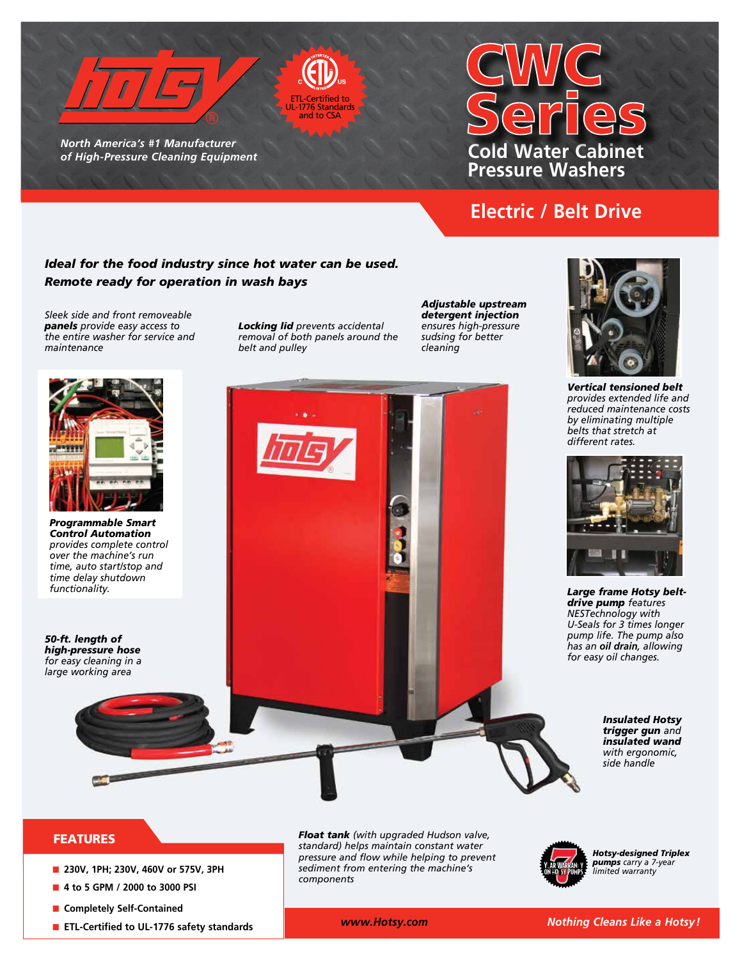

*North America's #1 Manufacturer of High-Pressure Cleaning Equipment* 

# **Cold Water Cabinet Pressure Washers**

## **Electric / Belt Drive**

#### *Ideal for the food industry since hot water can be used. Remote ready for operation in wash bays*

*Sleek side and front removeable panels provide easy access to the entire washer for service and maintenance*

*Locking lid prevents accidental removal of both panels around the belt and pulley*

ETL-Certified to i Standard and to CSA

> *Adjustable upstream detergent injection ensures high-pressure sudsing for better cleaning*





*Vertical tensioned belt provides extended life and reduced maintenance costs by eliminating multiple belts that stretch at different rates.* 



*Large frame Hotsy beltdrive pump features NESTechnology with U-Seals for 3 times longer pump life. The pump also has an oil drain, allowing for easy oil changes.*

#### *Insulated Hotsy trigger gun and insulated wand with ergonomic, side handle*

### FEATURES

- **n** 230V, 1PH; 230V, 460V or 575V, 3PH
- 4 to 5 GPM / 2000 to 3000 PSI
- **n** Completely Self-Contained
- **ETL-Certified to UL-1776 safety standards**

*Float tank (with upgraded Hudson valve, standard) helps maintain constant water pressure and flow while helping to prevent sediment from entering the machine's components*



*Hotsy-designed Triplex pumps carry a 7-year limited warranty*